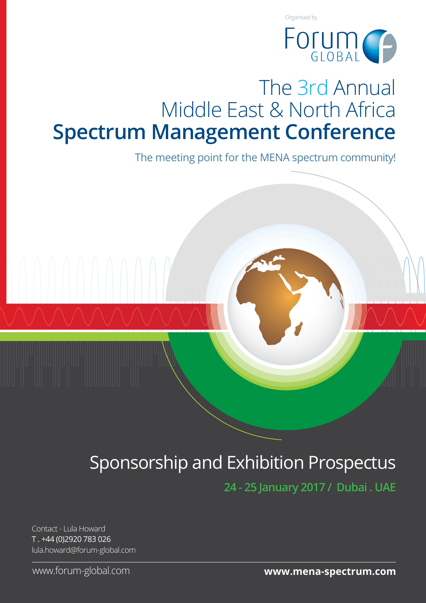

# The 3rd Annual Middle East & North Africa **Spectrum Management Conference**

The meeting point for the MENA spectrum community!

# Sponsorship and Exhibition Prospectus

**24 - 25 January 2017 / Dubai . UAE**

Contact - Lula Howard T . +44 (0)2920 783 026 lula.howard@forum-global.com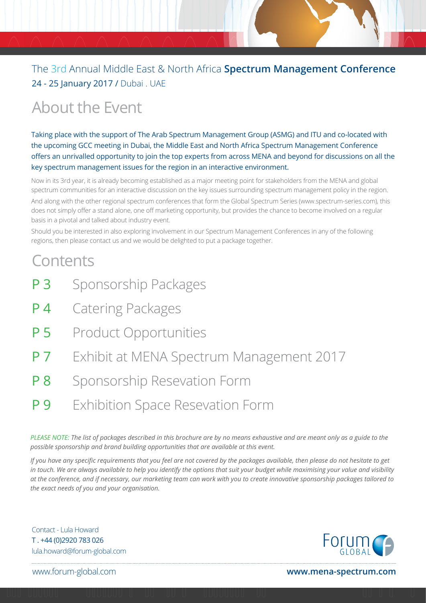# About the Event

Taking place with the support of The Arab Spectrum Management Group (ASMG) and ITU and co-located with the upcoming GCC meeting in Dubai, the Middle East and North Africa Spectrum Management Conference offers an unrivalled opportunity to join the top experts from across MENA and beyond for discussions on all the key spectrum management issues for the region in an interactive environment.

Now in its 3rd year, it is already becoming established as a major meeting point for stakeholders from the MENA and global spectrum communities for an interactive discussion on the key issues surrounding spectrum management policy in the region. And along with the other regional spectrum conferences that form the Global Spectrum Series (www.spectrum-series.com), this does not simply offer a stand alone, one off marketing opportunity, but provides the chance to become involved on a regular basis in a pivotal and talked about industry event.

Should you be interested in also exploring involvement in our Spectrum Management Conferences in any of the following regions, then please contact us and we would be delighted to put a package together.

# **Contents**

- P 3 Sponsorship Packages
- **P 4** Catering Packages
- P 5 Product Opportunities
- **P 7** Exhibit at MENA Spectrum Management 2017
- P 8 Sponsorship Resevation Form
- P 9 Exhibition Space Resevation Form

*PLEASE NOTE: The list of packages described in this brochure are by no means exhaustive and are meant only as a guide to the possible sponsorship and brand building opportunities that are available at this event.* 

*If you have any specific requirements that you feel are not covered by the packages available, then please do not hesitate to get in touch. We are always available to help you identify the options that suit your budget while maximising your value and visibility at the conference, and if necessary, our marketing team can work with you to create innovative sponsorship packages tailored to the exact needs of you and your organisation.*

Contact - Lula Howard T . +44 (0)2920 783 026 lula.howard@forum-global.com

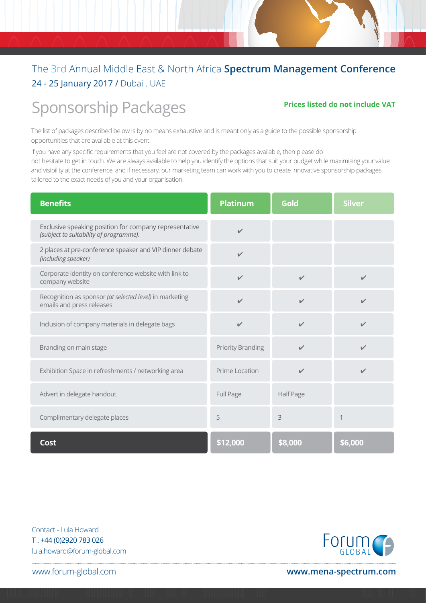# Sponsorship Packages

### **Prices listed do not include VAT**

The list of packages described below is by no means exhaustive and is meant only as a guide to the possible sponsorship opportunities that are available at this event.

If you have any specific requirements that you feel are not covered by the packages available, then please do not hesitate to get in touch. We are always available to help you identify the options that suit your budget while maximising your value and visibility at the conference, and if necessary, our marketing team can work with you to create innovative sponsorship packages tailored to the exact needs of you and your organisation.

| <b>Benefits</b>                                                                                  | <b>Platinum</b>          | Gold         | <b>Silver</b> |
|--------------------------------------------------------------------------------------------------|--------------------------|--------------|---------------|
| Exclusive speaking position for company representative<br>(subject to suitability of programme). | $\sqrt{2}$               |              |               |
| 2 places at pre-conference speaker and VIP dinner debate<br>(including speaker)                  | $\mathbf{v}$             |              |               |
| Corporate identity on conference website with link to<br>company website                         | $\checkmark$             | $\checkmark$ | $\checkmark$  |
| Recognition as sponsor (at selected level) in marketing<br>emails and press releases             | $\sqrt{2}$               | $\sqrt{2}$   | ✔             |
| Inclusion of company materials in delegate bags                                                  | $\checkmark$             | $\mathbf{v}$ | $\checkmark$  |
| Branding on main stage                                                                           | <b>Priority Branding</b> | $\checkmark$ | $\checkmark$  |
| Exhibition Space in refreshments / networking area                                               | Prime Location           | ✓            | $\mathbf{v}$  |
| Advert in delegate handout                                                                       | Full Page                | Half Page    |               |
| Complimentary delegate places                                                                    | 5                        | 3            |               |
| <b>Cost</b>                                                                                      | \$12,000                 | \$8,000      | \$6,000       |

Contact - Lula Howard T . +44 (0)2920 783 026 lula.howard@forum-global.com

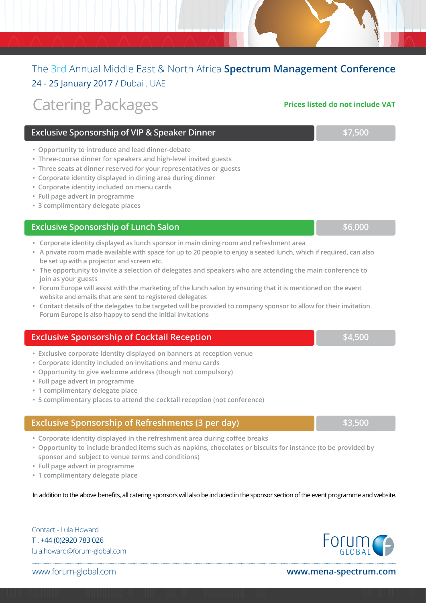# Catering Packages

### **Exclusive Sponsorship of VIP & Speaker Dinner <b>Exclusive Sponsorship of VIP & Speaker Dinner**

- **Opportunity to introduce and lead dinner-debate**
- **Three-course dinner for speakers and high-level invited guests**
- **Three seats at dinner reserved for your representatives or guests**
- **Corporate identity displayed in dining area during dinner**
- **Corporate identity included on menu cards**
- **Full page advert in programme**
- **3 complimentary delegate places**

### **Exclusive Sponsorship of Lunch Salon Burnet Construction of the S6,000**

- **Corporate identity displayed as lunch sponsor in main dining room and refreshment area**
- **A private room made available with space for up to 20 people to enjoy a seated lunch, which if required, can also be set up with a projector and screen etc.**
- **The opportunity to invite a selection of delegates and speakers who are attending the main conference to join as your guests**
- **Forum Europe will assist with the marketing of the lunch salon by ensuring that it is mentioned on the event website and emails that are sent to registered delegates**
- **Contact details of the delegates to be targeted will be provided to company sponsor to allow for their invitation. Forum Europe is also happy to send the initial invitations**

### **Exclusive Sponsorship of Cocktail Reception <b>Exclusive Sponsorship of Cocktail Reception**

- **Exclusive corporate identity displayed on banners at reception venue**
- **Corporate identity included on invitations and menu cards**
- **Opportunity to give welcome address (though not compulsory)**
- **Full page advert in programme**
- **1 complimentary delegate place**
- **5 complimentary places to attend the cocktail reception (not conference)**

### **Exclusive Sponsorship of Refreshments (3 per day) <b>\$3,500 \$3,500**

- **Corporate identity displayed in the refreshment area during coffee breaks**
- **Opportunity to include branded items such as napkins, chocolates or biscuits for instance (to be provided by sponsor and subject to venue terms and conditions)**
- **Full page advert in programme**
- **1 complimentary delegate place**

In addition to the above benefits, all catering sponsors will also be included in the sponsor section of the event programme and website.

Contact - Lula Howard T . +44 (0)2920 783 026 lula.howard@forum-global.com

**FOLUM** 

www.forum-global.com **www.mena-spectrum.com**

**Prices listed do not include VAT**

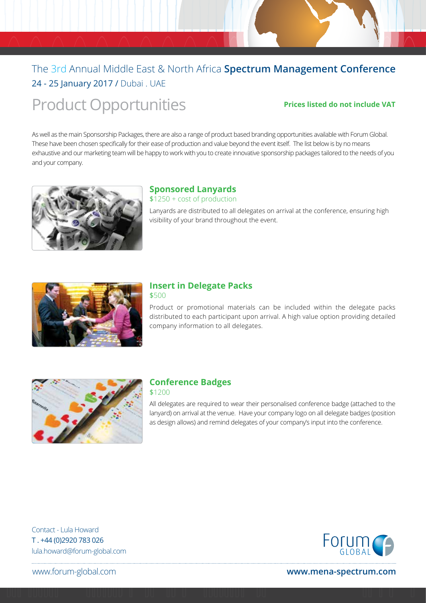# Product Opportunities

### **Prices listed do not include VAT**

As well as the main Sponsorship Packages, there are also a range of product based branding opportunities available with Forum Global. These have been chosen specifically for their ease of production and value beyond the event itself. The list below is by no means exhaustive and our marketing team will be happy to work with you to create innovative sponsorship packages tailored to the needs of you and your company.



### **Sponsored Lanyards**

\$1250 + cost of production

Lanyards are distributed to all delegates on arrival at the conference, ensuring high visibility of your brand throughout the event.



### **Insert in Delegate Packs**

\$500

Product or promotional materials can be included within the delegate packs distributed to each participant upon arrival. A high value option providing detailed company information to all delegates.



### **Conference Badges**

\$1200

All delegates are required to wear their personalised conference badge (attached to the lanyard) on arrival at the venue. Have your company logo on all delegate badges (position as design allows) and remind delegates of your company's input into the conference.

Contact - Lula Howard T . +44 (0)2920 783 026 lula.howard@forum-global.com

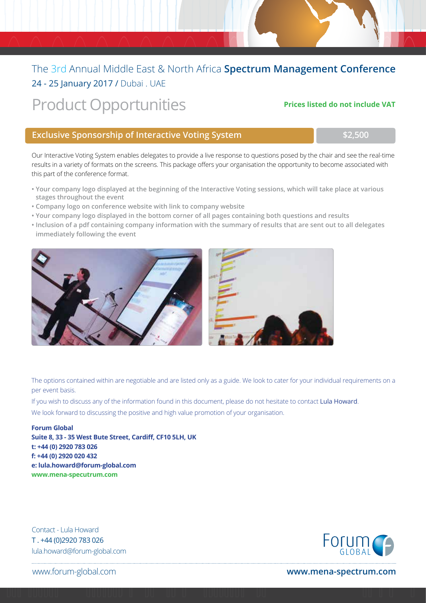# Product Opportunities **Prices listed do not include VAT**

### **Exclusive Sponsorship of Interactive Voting System <b>The Constantine Constantine Constant** \$2,500

Our Interactive Voting System enables delegates to provide a live response to questions posed by the chair and see the real-time results in a variety of formats on the screens. This package offers your organisation the opportunity to become associated with this part of the conference format.

- **Your company logo displayed at the beginning of the Interactive Voting sessions, which will take place at various stages throughout the event**
- **Company logo on conference website with link to company website**
- **Your company logo displayed in the bottom corner of all pages containing both questions and results**
- **Inclusion of a pdf containing company information with the summary of results that are sent out to all delegates immediately following the event**



The options contained within are negotiable and are listed only as a guide. We look to cater for your individual requirements on a per event basis.

If you wish to discuss any of the information found in this document, please do not hesitate to contact Lula Howard. We look forward to discussing the positive and high value promotion of your organisation.

**Forum Global Suite 8, 33 - 35 West Bute Street, Cardiff, CF10 5LH, UK t: +44 (0) 2920 783 026 f: +44 (0) 2920 020 432 e: lula.howard@forum-global.com www.mena-specutrum.com**

Contact - Lula Howard T . +44 (0)2920 783 026 lula.howard@forum-global.com

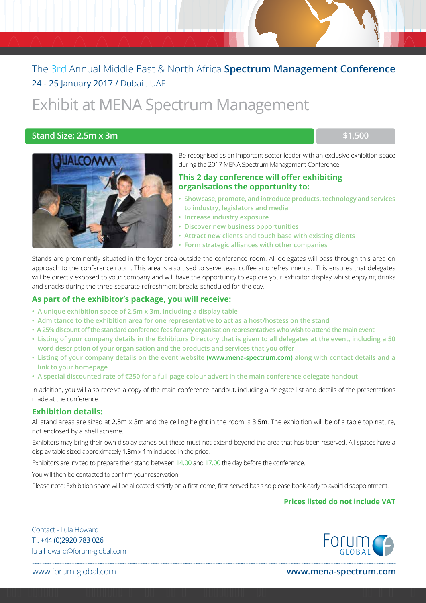# Exhibit at MENA Spectrum Management

### **Stand Size: 2.5m x 3m \$1,500 \$1,500**



Be recognised as an important sector leader with an exclusive exhibition space during the 2017 MENA Spectrum Management Conference.

### **This 2 day conference will offer exhibiting organisations the opportunity to:**

- **Showcase, promote, and introduce products, technology and services to industry, legislators and media**
- **Increase industry exposure**
- **Discover new business opportunities**
- **Attract new clients and touch base with existing clients**
- **Form strategic alliances with other companies**

Stands are prominently situated in the foyer area outside the conference room. All delegates will pass through this area on approach to the conference room. This area is also used to serve teas, coffee and refreshments. This ensures that delegates will be directly exposed to your company and will have the opportunity to explore your exhibitor display whilst enjoying drinks and snacks during the three separate refreshment breaks scheduled for the day.

### **As part of the exhibitor's package, you will receive:**

- **A unique exhibition space of 2.5m x 3m, including a display table**
- **Admittance to the exhibition area for one representative to act as a host/hostess on the stand**
- **A 25% discount off the standard conference fees for any organisation representatives who wish to attend the main event**
- **Listing of your company details in the Exhibitors Directory that is given to all delegates at the event, including a 50 word description of your organisation and the products and services that you offer**
- **Listing of your company details on the event website (www.mena-spectrum.com) along with contact details and a link to your homepage**
- **A special discounted rate of €250 for a full page colour advert in the main conference delegate handout**

In addition, you will also receive a copy of the main conference handout, including a delegate list and details of the presentations made at the conference.

### **Exhibition details:**

All stand areas are sized at  $2.5m \times 3m$  and the ceiling height in the room is  $3.5m$ . The exhibition will be of a table top nature, not enclosed by a shell scheme.

Exhibitors may bring their own display stands but these must not extend beyond the area that has been reserved. All spaces have a display table sized approximately  $1.8m \times 1m$  included in the price.

Exhibitors are invited to prepare their stand between 14.00 and 17.00 the day before the conference.

You will then be contacted to confirm your reservation.

Please note: Exhibition space will be allocated strictly on a first-come, first-served basis so please book early to avoid disappointment.

### **Prices listed do not include VAT**

Contact - Lula Howard T . +44 (0)2920 783 026 lula.howard@forum-global.com

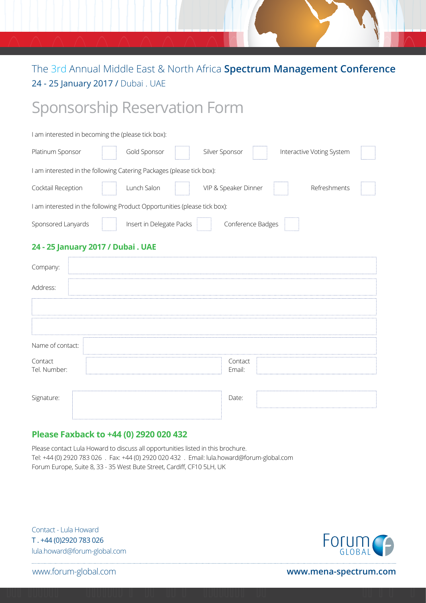# Sponsorship Reservation Form

| I am interested in becoming the (please tick box):                        |  |                          |  |                      |  |                           |  |
|---------------------------------------------------------------------------|--|--------------------------|--|----------------------|--|---------------------------|--|
| Platinum Sponsor                                                          |  | Gold Sponsor             |  | Silver Sponsor       |  | Interactive Voting System |  |
| I am interested in the following Catering Packages (please tick box):     |  |                          |  |                      |  |                           |  |
| Cocktail Reception                                                        |  | Lunch Salon              |  | VIP & Speaker Dinner |  | Refreshments              |  |
| I am interested in the following Product Opportunities (please tick box): |  |                          |  |                      |  |                           |  |
| Sponsored Lanyards                                                        |  | Insert in Delegate Packs |  | Conference Badges    |  |                           |  |

### **24 - 25 January 2017 / Dubai . UAE**

| Company:                |                   |
|-------------------------|-------------------|
| Address:                |                   |
|                         |                   |
|                         |                   |
| Name of contact:        |                   |
| Contact<br>Tel. Number: | Contact<br>Email: |
| Signature:              | Date:             |

### **Please Faxback to +44 (0) 2920 020 432**

Please contact Lula Howard to discuss all opportunities listed in this brochure. Tel: +44 (0) 2920 783 026 . Fax: +44 (0) 2920 020 432 . Email: lula.howard@forum-global.com Forum Europe, Suite 8, 33 - 35 West Bute Street, Cardiff, CF10 5LH, UK

Contact - Lula Howard T . +44 (0)2920 783 026 lula.howard@forum-global.com